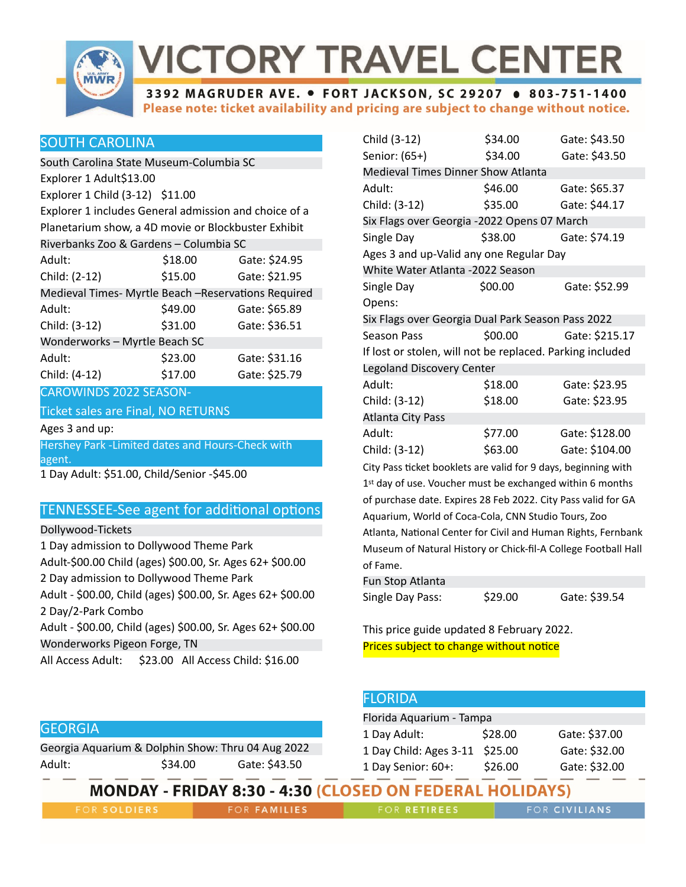

# **VICTORY TRAVEL CENTER**

3392 MAGRUDER AVE. . FORT JACKSON, SC 29207 . 803-751-1400 Please note: ticket availability and pricing are subject to change without notice.

## SOUTH CAROLINA

South Carolina State Museum-Columbia SC Explorer 1 Adult \$13.00 Explorer 1 Child (3-12) \$11.00 Explorer 1 includes General admission and choice of a Planetarium show, a 4D movie or Blockbuster Exhibit Riverbanks Zoo & Gardens – Columbia SC Adult: \$18.00 Gate: \$24.95 Child: (2-12) \$15.00 Gate: \$21.95 Medieval Times- Myrtle Beach –Reservations Required Adult:  $$49.00$  Gate: \$65.89 Child: (3-12) \$31.00 Gate: \$36.51 Wonderworks – Myrtle Beach SC Adult:  $$23.00$  Gate: \$31.16 Child: (4-12) \$17.00 Gate: \$25.79

CAROWINDS 2022 SEASON-

#### Ticket sales are Final, NO RETURNS

Ages 3 and up:

Hershey Park -Limited dates and Hours-Check with agent.

1 Day Adult: \$51.00, Child/Senior -\$45.00

## **TENNESSEE-See agent for additional options**

Dollywood-Tickets

1 Day admission to Dollywood Theme Park Adult-\$00.00 Child (ages) \$00.00, Sr. Ages 62+ \$00.00 2 Day admission to Dollywood Theme Park Adult - \$00.00, Child (ages) \$00.00, Sr. Ages 62+ \$00.00 2 Day/2-Park Combo Adult - \$00.00, Child (ages) \$00.00, Sr. Ages 62+ \$00.00 Wonderworks Pigeon Forge, TN All Access Adult: \$23.00 All Access Child: \$16.00

| Child (3-12)                                                   | \$34.00 | Gate: \$43.50  |  |
|----------------------------------------------------------------|---------|----------------|--|
| Senior: (65+)                                                  | \$34.00 | Gate: \$43.50  |  |
| Medieval Times Dinner Show Atlanta                             |         |                |  |
| Adult:                                                         | \$46.00 | Gate: \$65.37  |  |
| Child: (3-12)                                                  | \$35.00 | Gate: \$44.17  |  |
| Six Flags over Georgia -2022 Opens 07 March                    |         |                |  |
| Single Day                                                     | \$38.00 | Gate: \$74.19  |  |
| Ages 3 and up-Valid any one Regular Day                        |         |                |  |
| White Water Atlanta -2022 Season                               |         |                |  |
| Single Day                                                     | \$00.00 | Gate: \$52.99  |  |
| Opens:                                                         |         |                |  |
| Six Flags over Georgia Dual Park Season Pass 2022              |         |                |  |
| <b>Season Pass</b>                                             | \$00.00 | Gate: \$215.17 |  |
| If lost or stolen, will not be replaced. Parking included      |         |                |  |
| Legoland Discovery Center                                      |         |                |  |
| Adult:                                                         | \$18.00 | Gate: \$23.95  |  |
| Child: (3-12)                                                  | \$18.00 | Gate: \$23.95  |  |
| <b>Atlanta City Pass</b>                                       |         |                |  |
| Adult:                                                         | \$77.00 | Gate: \$128.00 |  |
| Child: (3-12)                                                  | \$63.00 | Gate: \$104.00 |  |
| City Pass ticket booklets are valid for 9 days, beginning with |         |                |  |
| 1st day of use. Voucher must be exchanged within 6 months      |         |                |  |

of purchase date. Expires 28 Feb 2022. City Pass valid for GA Aquarium, World of Coca-Cola, CNN Studio Tours, Zoo Atlanta, National Center for Civil and Human Rights, Fernbank Museum of Natural History or Chick-fil-A College Football Hall of Fame.

| Fun Stop Atlanta |         |               |
|------------------|---------|---------------|
| Single Day Pass: | \$29.00 | Gate: \$39.54 |

This price guide updated 8 February 2022. Prices subject to change without notice

|                                                   |         |               | --------                                                        |         |               |
|---------------------------------------------------|---------|---------------|-----------------------------------------------------------------|---------|---------------|
|                                                   |         |               | Florida Aquarium - Tampa                                        |         |               |
| <b>GEORGIA</b>                                    |         |               | 1 Day Adult:                                                    | \$28.00 | Gate: \$37.00 |
| Georgia Aquarium & Dolphin Show: Thru 04 Aug 2022 |         |               | 1 Day Child: Ages 3-11 \$25.00                                  |         | Gate: \$32.00 |
| Adult:                                            | \$34.00 | Gate: \$43.50 | 1 Day Senior: 60+:                                              | \$26.00 | Gate: \$32.00 |
|                                                   |         |               | <b>MONDAY - FRIDAY 8:30 - 4:30 (CLOSED ON FEDERAL HOLIDAYS)</b> |         |               |

**FOR SOLDIERS** 

**FOR FAMILIES** 

FOR RETIREES

**FLORIDA** 

FOR CIVILIANS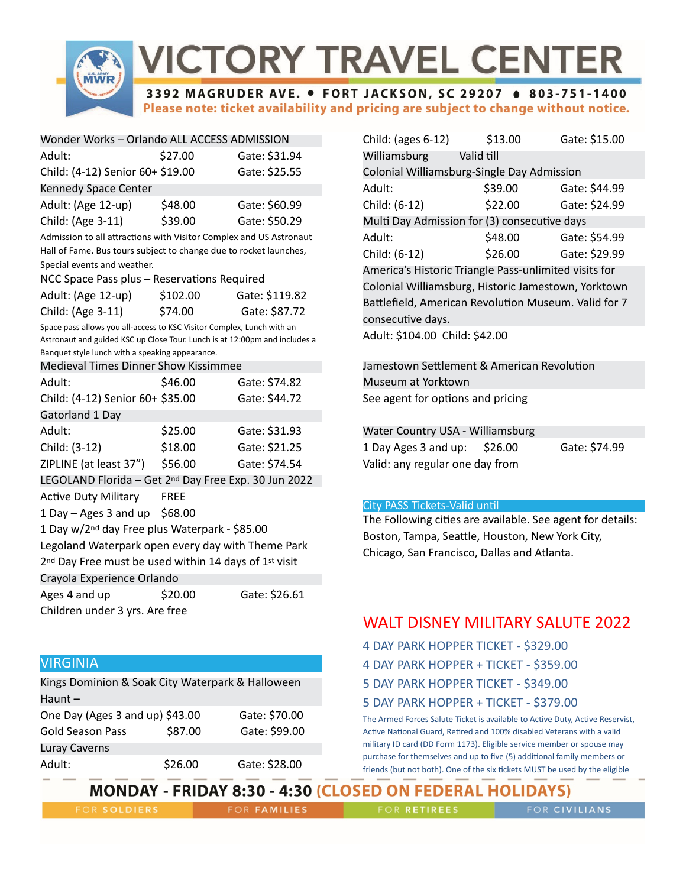

# **VICTORY TRAVEL CENTER**

3392 MAGRUDER AVE. . FORT JACKSON, SC 29207 . 803-751-1400 Please note: ticket availability and pricing are subject to change without notice.

| Wonder Works - Orlando ALL ACCESS ADMISSION                        |         |               |  |
|--------------------------------------------------------------------|---------|---------------|--|
| Adult:                                                             | \$27.00 | Gate: \$31.94 |  |
| Child: (4-12) Senior 60+ \$19.00                                   |         | Gate: \$25.55 |  |
| Kennedy Space Center                                               |         |               |  |
| Adult: (Age 12-up)                                                 | \$48.00 | Gate: \$60.99 |  |
| Child: (Age 3-11)                                                  | \$39.00 | Gate: \$50.29 |  |
| Admission to all attractions with Visitor Complex and US Astronaut |         |               |  |

Hall of Fame. Bus tours subject to change due to rocket launches, Special events and weather.

| NCC Space Pass plus - Reservations Required |        |                        |
|---------------------------------------------|--------|------------------------|
| $A$ dult $(A \cap A)$ und                   | 610200 | $C_{0}$ +0. $C_{1}$ 11 |

| Adult: (Age 12-up) | \$102.00 | Gate: \$119.82 |
|--------------------|----------|----------------|
| Child: (Age 3-11)  | \$74.00  | Gate: \$87.72  |

Space pass allows you all-access to KSC Visitor Complex, Lunch with an Astronaut and guided KSC up Close Tour. Lunch is at 12:00pm and includes a Banquet style lunch with a speaking appearance.

Medieval Times Dinner Show Kissimmee

| Adult:                                                                        | \$46.00     | Gate: \$74.82 |
|-------------------------------------------------------------------------------|-------------|---------------|
| Child: (4-12) Senior 60+ \$35.00                                              |             | Gate: \$44.72 |
| Gatorland 1 Day                                                               |             |               |
| Adult:                                                                        | \$25.00     | Gate: \$31.93 |
| Child: (3-12)                                                                 | \$18.00     | Gate: \$21.25 |
| ZIPLINE (at least 37")                                                        | \$56.00     | Gate: \$74.54 |
| LEGOLAND Florida - Get 2nd Day Free Exp. 30 Jun 2022                          |             |               |
| <b>Active Duty Military</b>                                                   | <b>FREE</b> |               |
| 1 Day $-$ Ages 3 and up \$68.00                                               |             |               |
| 1 Day w/2 <sup>nd</sup> day Free plus Waterpark - \$85.00                     |             |               |
| Legoland Waterpark open every day with Theme Park                             |             |               |
| 2 <sup>nd</sup> Day Free must be used within 14 days of 1 <sup>st</sup> visit |             |               |
| Crayola Experience Orlando                                                    |             |               |
| Ages 4 and up                                                                 | \$20.00     | Gate: \$26.61 |
| Children under 3 yrs. Are free                                                |             |               |
|                                                                               |             |               |

Kings Dominion & Soak City Waterpark & Halloween

One Day (Ages 3 and up) \$43.00 Gate: \$70.00 Gold Season Pass \$87.00 Gate: \$99.00

Adult: \$26.00 Gate: \$28.00

## Child: (ages 6-12) \$13.00 Gate: \$15.00 Williamsburg Valid till Colonial Williamsburg-Single Day Admission Adult: \$39.00 Gate: \$44.99 Child: (6-12) \$22.00 Gate: \$24.99 Multi Day Admission for (3) consecutive days Adult:  $$48.00$  Gate: \$54.99 Child: (6-12) \$26.00 Gate: \$29.99 America's Historic Triangle Pass-unlimited visits for Colonial Williamsburg, Historic Jamestown, Yorktown Battlefield, American Revolution Museum. Valid for 7 consecutive days. Adult: \$104.00 Child: \$42.00

Jamestown Settlement & American Revolution Museum at Yorktown See agent for options and pricing

| Water Country USA - Williamsburg |         |               |
|----------------------------------|---------|---------------|
| 1 Day Ages 3 and up:             | \$26.00 | Gate: \$74.99 |
| Valid: any regular one day from  |         |               |

#### **City PASS Tickets-Valid until**

The Following cities are available. See agent for details: Boston, Tampa, Seattle, Houston, New York City, Chicago, San Francisco, Dallas and Atlanta.

## WALT DISNEY MILITARY SALUTE 2022

- 4 DAY PARK HOPPER TICKET \$329.00
- 4 DAY PARK HOPPER + TICKET \$359.00
- 5 DAY PARK HOPPER TICKET \$349.00
- 5 DAY PARK HOPPER + TICKET \$379.00

The Armed Forces Salute Ticket is available to Active Duty, Active Reservist, Active National Guard, Retired and 100% disabled Veterans with a valid military ID card (DD Form 1173). Eligible service member or spouse may purchase for themselves and up to five (5) additional family members or friends (but not both). One of the six tickets MUST be used by the eligible

## **MONDAY - FRIDAY 8:30 - 4:30 (CLOSED ON FEDERAL HOLIDAYS)**

**FOR SOLDIERS** 

VIRGINIA

Luray Caverns

Haunt –

**FOR FAMILIES** 

FOR RETIREES

FOR CIVILIANS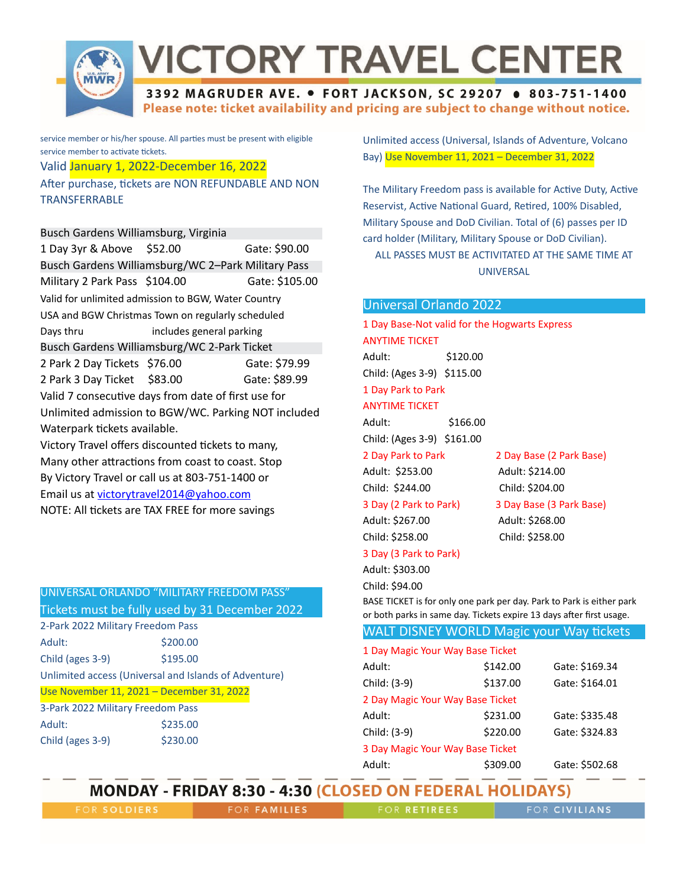

# **VICTORY TRAVEL CENTER**

#### 3392 MAGRUDER AVE. . FORT JACKSON, SC 29207 . 803-751-1400 Please note: ticket availability and pricing are subject to change without notice.

service member or his/her spouse. All parties must be present with eligible service member to activate tickets.

#### Valid January 1, 2022-December 16, 2022

After purchase, tickets are NON REFUNDABLE AND NON **TRANSFERRABLE** 

Busch Gardens Williamsburg, Virginia

| 1 Day 3yr & Above \$52.00                           |                          | Gate: \$90.00  |  |
|-----------------------------------------------------|--------------------------|----------------|--|
| Busch Gardens Williamsburg/WC 2-Park Military Pass  |                          |                |  |
| Military 2 Park Pass \$104.00                       |                          | Gate: \$105.00 |  |
| Valid for unlimited admission to BGW, Water Country |                          |                |  |
| USA and BGW Christmas Town on regularly scheduled   |                          |                |  |
| Days thru                                           | includes general parking |                |  |
| Busch Gardens Williamsburg/WC 2-Park Ticket         |                          |                |  |
| 2 Park 2 Day Tickets \$76.00                        |                          | Gate: \$79.99  |  |
| 2 Park 3 Day Ticket \$83.00                         |                          | Gate: \$89.99  |  |
| Valid 7 consecutive days from date of first use for |                          |                |  |
| Unlimited admission to BGW/WC. Parking NOT included |                          |                |  |
| Waterpark tickets available.                        |                          |                |  |
| Victory Travel offers discounted tickets to many,   |                          |                |  |
| Many other attractions from coast to coast. Stop    |                          |                |  |

Many other attractions from coast to coast. Stop By Victory Travel or call us at 803-751-1400 or Email us at [victorytravel2014@yahoo.com](mailto:victorytravel2014@yahoo.com) NOTE: All tickets are TAX FREE for more savings

## UNIVERSAL ORLANDO "MILITARY FREEDOM PASS"

Tickets must be fully used by 31 December 2022

| 2-Park 2022 Military Freedom Pass                     |          |  |
|-------------------------------------------------------|----------|--|
| Adult:                                                | \$200.00 |  |
| Child (ages 3-9)                                      | \$195.00 |  |
| Unlimited access (Universal and Islands of Adventure) |          |  |
| Use November 11, 2021 - December 31, 2022             |          |  |
| 3-Park 2022 Military Freedom Pass                     |          |  |
| Adult:                                                | \$235.00 |  |
| Child (ages 3-9)                                      | \$230.00 |  |

Unlimited access (Universal, Islands of Adventure, Volcano Bay) Use November 11, 2021 – December 31, 2022

The Military Freedom pass is available for Active Duty, Active Reservist, Active National Guard, Retired, 100% Disabled, Military Spouse and DoD Civilian. Total of (6) passes per ID card holder (Military, Military Spouse or DoD Civilian). ALL PASSES MUST BE ACTIVITATED AT THE SAME TIME AT UNIVERSAL

#### Universal Orlando 2022

| 1 Day Base-Not valid for the Hogwarts Express |          |  |
|-----------------------------------------------|----------|--|
| ANYTIME TICKET                                |          |  |
| Adult:                                        | \$120.00 |  |
| Child: (Ages 3-9) \$115.00                    |          |  |
|                                               |          |  |

## 1 Day Park to Park

## ANYTIME TICKET

Adult: \$166.00 Child: (Ages 3-9) \$161.00

2 Day Park to Park 2 Day Base (2 Park Base)

## Adult: \$253.00 Adult: \$214.00 Child: \$244.00 Child: \$204.00

### 3 Day (2 Park to Park) 3 Day Base (3 Park Base)

Adult: \$267.00 Adult: \$268.00

Child: \$258.00 Child: \$258.00

### 3 Day (3 Park to Park)

Adult: \$303.00 Child: \$94.00

BASE TICKET is for only one park per day. Park to Park is either park or both parks in same day. Tickets expire 13 days after first usage.

### WALT DISNEY WORLD Magic your Way tickets

| 1 Day Magic Your Way Base Ticket |          |                |  |
|----------------------------------|----------|----------------|--|
| Adult:                           | \$142.00 | Gate: \$169.34 |  |
| Child: (3-9)                     | \$137.00 | Gate: \$164.01 |  |
| 2 Day Magic Your Way Base Ticket |          |                |  |
| Adult:                           | \$231.00 | Gate: \$335.48 |  |
| Child: (3-9)                     | \$220.00 | Gate: \$324.83 |  |
| 3 Day Magic Your Way Base Ticket |          |                |  |
| Adult:                           | \$309.00 | Gate: \$502.68 |  |

## **MONDAY - FRIDAY 8:30 - 4:30 (CLOSED ON FEDERAL HOLIDAYS)**

FOR SOLDIERS

FOR FAMILIES

FOR RETIREES

FOR CIVILIANS